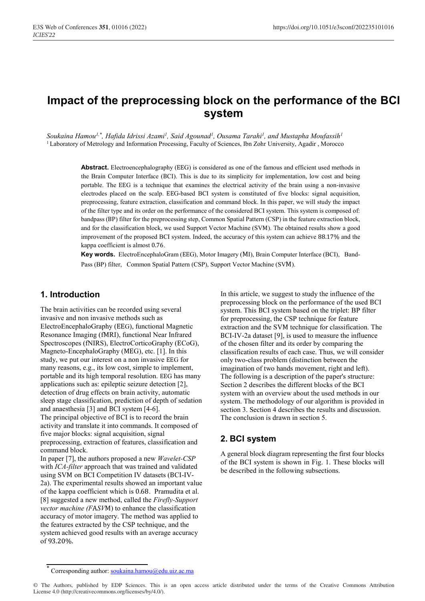# **Impact of the preprocessing block on the performance of the ΒCI system**

*Soukaina Hamou1,\*, Hafida Idrissi Azami1 , Said Agounad1 , Ousama Tarahi1 , and Mustapha Moufassih1* <sup>1</sup> Laboratory of Metrology and Information Processing, Faculty of Sciences, Ibn Zohr University, Agadir, Morocco

> **Abstract.** Electroencephalography (ΕΕG) is considered as one of the famous and efficient used methods in the Brain Computer Interface (ΒCI). This is due to its simplicity for implementation, low cost and being portable. The ΕΕG is a technique that examines the electrical activity of the brain using a non-invasive electrodes placed on the scalp. ΕΕG-based BCI system is constituted of five blocks: signal acquisition, preprocessing, feature extraction, classification and command block. In this paper, we will study the impact of the filter type and its order on the performance of the considered BCI system. This system is composed of: bandpass (ΒΡ) filter for the preprocessing step, Common Spatial Pattern (CSP) in the feature extraction block, and for the classification block, we used Support Vector Machine (SVΜ). The obtained results show a good improvement of the proposed BCI system. Indeed, the accuracy of this system can achieve 88.17% and the kappa coefficient is almost 0.76.

> **Key words.** ElectroEncephaloGram (ΕΕG), Motor Imagery (ΜI), Brain Computer Interface (ΒCI), Band-Pass (BP) filter, Common Spatial Pattern (CSP), Support Vector Machine (SVΜ).

## **1. Introduction**

The brain activities can be recorded using several invasive and non invasive methods such as ElectroEncephaloGraphy (ΕΕG), functional Magnetic Resonance Imaging (fΜRI), functional Near Infrared Spectroscopes (fNIRS), ΕlectroCorticoGraphy (ΕCoG), Magneto-EncephaloGraphy (ΜΕG), etc. [1]. In this study, we put our interest on a non invasive ΕΕG for many reasons, e.g., its low cost, simple to implement, portable and its high temporal resolution. ΕΕG has many applications such as: epileptic seizure detection [2], detection of drug effects on brain activity, automatic sleep stage classification, prediction of depth of sedation and anaesthesia [3] and ΒCI system [4-6]. The principal objective of BCI is to record the brain activity and translate it into commands. It composed of five major blocks: signal acquisition, signal preprocessing, extraction of features, classification and command block. In paper [7], the authors proposed a new *Wavelet-CSP* with *ICA-filter* approach that was trained and validated using SVΜ on ΒCI Competition IV datasets (ΒCI-IV-2a). The experimental results showed an important value

of the kappa coefficient which is 0.68. Pramudita et al. [8] suggested a new method, called the *Firefly-Support vector machine (F*Α*SV*Μ) to enhance the classification accuracy of motor imagery. The method was applied to the features extracted by the CSP technique, and the system achieved good results with an average accuracy of 93.20%.

In this article, we suggest to study the influence of the preprocessing block on the performance of the used ΒCI system. This ΒCI system based on the triplet: BP filter for preprocessing, the CSP technique for feature extraction and the SVΜ technique for classification. The ΒCI-IV-2a dataset [9], is used to measure the influence of the chosen filter and its order by comparing the classification results of each case. Thus, we will consider only two-class problem (distinction between the imagination of two hands movement, right and left). The following is a description of the paper's structure: Section 2 describes the different blocks of the ΒCI system with an overview about the used methods in our system. The methodology of our algorithm is provided in section 3. Section 4 describes the results and discussion. The conclusion is drawn in section 5.

# **2. BCI system**

A general block diagram representing the first four blocks of the BCI system is shown in Fig. 1. These blocks will be described in the following subsections.

Corresponding author: soukaina.hamou@edu.uiz.ac.ma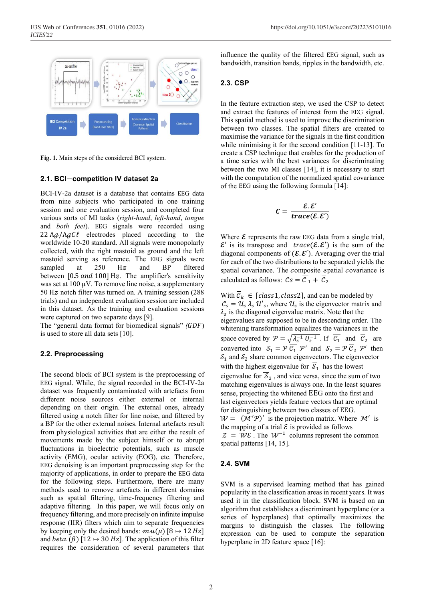

**Fig. 1.** Main steps of the considered BCI system.

#### **2.1. BCI**−**competition IV dataset 2a**

BCI-IV-2a dataset is a database that contains ΕΕG data from nine subjects who participated in one training session and one evaluation session, and completed four various sorts of MI tasks (*right-hand*, *left-hand*, *tongue* and *both feet*). ΕΕG signals were recorded using 22 Aq/AqCl electrodes placed according to the worldwide 10-20 standard. All signals were monopolarly collected, with the right mastoid as ground and the left mastoid serving as reference. The ΕΕG signals were sampled at 250 Hz and BP filtered between  $[0.5 \text{ and } 100]$  Hz. The amplifier's sensitivity was set at  $100 \mu V$ . To remove line noise, a supplementary 50 Hz notch filter was turned on. A training session  $(288)$ trials) and an independent evaluation session are included in this dataset. As the training and evaluation sessions were captured on two separate days [9].

The "general data format for biomedical signals" *(GDF)* is used to store all data sets [10].

#### **2.2. Preprocessing**

The second block of ΒCI system is the preprocessing of ΕΕG signal. While, the signal recorded in the ΒCI-IV-2a dataset was frequently contaminated with artefacts from different noise sources either external or internal depending on their origin. The external ones, already filtered using a notch filter for line noise, and filtered by a BP for the other external noises. Internal artefacts result from physiological activities that are either the result of movements made by the subject himself or to abrupt fluctuations in bioelectric potentials, such as muscle activity (EΜG), ocular activity (EOG), etc. Therefore, ΕΕG denoising is an important preprocessing step for the majority of applications, in order to prepare the ΕΕG data for the following steps. Furthermore, there are many methods used to remove artefacts in different domains such as spatial filtering, time-frequency filtering and adaptive filtering. In this paper, we will focus only on frequency filtering, and more precisely on infinite impulse response (IIR) filters which aim to separate frequencies by keeping only the desired bands:  $mu(\mu)$  [8  $\mapsto$  12 Hz] and beta ( $\beta$ ) [12  $\mapsto$  30 Hz]. The application of this filter requires the consideration of several parameters that

influence the quality of the filtered ΕΕG signal, such as bandwidth, transition bands, ripples in the bandwidth, etc.

#### **2.3. CSP**

In the feature extraction step, we used the CSP to detect and extract the features of interest from the ΕΕG signal. This spatial method is used to improve the discrimination between two classes. The spatial filters are created to maximise the variance for the signals in the first condition while minimising it for the second condition [11-13]. To create a CSP technique that enables for the production of a time series with the best variances for discriminating between the two MI classes [14], it is necessary to start with the computation of the normalized spatial covariance of the ΕΕG using the following formula [14]:

$$
C = \frac{\mathcal{E}.\,\mathcal{E}'}{trace(\mathcal{E}.\,\mathcal{E}')}
$$

Where  $\epsilon$  represents the raw EEG data from a single trial,  $\mathcal{E}'$  is its transpose and trace( $\mathcal{E}.\mathcal{E}'$ ) is the sum of the diagonal components of  $(E, E')$ . Averaging over the trial for each of the two distributions to be separated yields the spatial covariance. The composite spatial covariance is calculated as follows:  $\mathcal{C}s = \overline{\mathcal{C}}_1 + \overline{\mathcal{C}}_2$ 

With  $\overline{c}_k \in [class1, class2]$ , and can be modeled by  $C_s = \mathcal{U}_s \lambda_s \mathcal{U}'_s$ , where  $\mathcal{U}_s$  is the eigenvector matrix and  $\lambda_s$  is the diagonal eigenvalue matrix. Note that the eigenvalues are supposed to be in descending order. The whitening transformation equalizes the variances in the space covered by  $\mathcal{P} = \sqrt{\lambda_s^{-1} U_s^{-1}}$ . If  $\mathcal{C}_1$  and  $\mathcal{C}_2$  are converted into  $S_1 = P C_1 P'$  and  $S_2 = P C_2 P'$  then  $S_1$  and  $S_2$  share common eigenvectors. The eigenvector with the highest eigenvalue for  $\overline{s}_1$  has the lowest eigenvalue for  $\overline{s}_2$ , and vice versa, since the sum of two matching eigenvalues is always one. In the least squares sense, projecting the whitened ΕΕG onto the first and last eigenvectors yields feature vectors that are optimal for distinguishing between two classes of ΕΕG.  $W = (M'P)'$  is the projection matrix. Where  $M'$  is the mapping of a trial  $\mathcal E$  is provided as follows  $\mathcal{Z} = \mathcal{W}\mathcal{E}$ . The  $\mathcal{W}^{-1}$  columns represent the common spatial patterns [14, 15].

#### **2.4. SVM**

SVΜ is a supervised learning method that has gained popularity in the classification areas in recent years. It was used it in the classification block. SVΜ is based on an algorithm that establishes a discriminant hyperplane (or a series of hyperplanes) that optimally maximizes the margins to distinguish the classes. The following expression can be used to compute the separation hyperplane in 2D feature space [16]: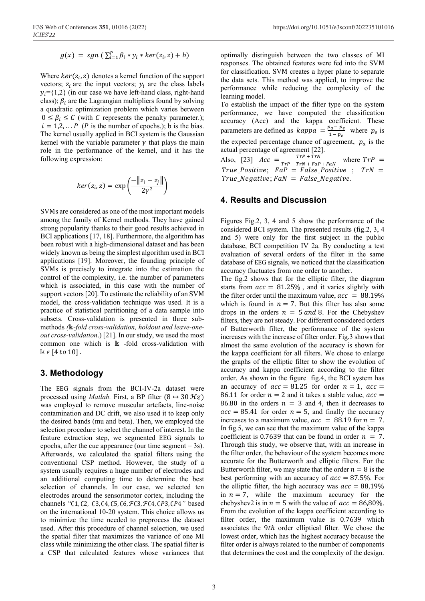$$
g(x) = sgn\left(\sum_{i=1}^p \beta_i * y_i * ker(z_i, z) + b\right)
$$

Where  $ker(z_i, z)$  denotes a kernel function of the support vectors;  $z_i$  are the input vectors;  $y_i$  are the class labels  $v_i = \{1,2\}$  (in our case we have left-hand class, right-hand class);  $\beta_i$  are the Lagrangian multipliers found by solving a quadratic optimization problem which varies between  $0 \leq \beta_i \leq C$  (with C represents the penalty parameter.);  $i = 1,2,... P$  (*P* is the number of epochs.); b is the bias. The kernel usually applied in ΒCI system is the Gaussian kernel with the variable parameter  $\gamma$  that plays the main role in the performance of the kernel, and it has the following expression:

$$
ker(z_i, z) = exp\left(\frac{-\|z_i - z_j\|}{2\gamma^2}\right)
$$

SVΜs are considered as one of the most important models among the family of Kernel methods. They have gained strong popularity thanks to their good results achieved in BCI applications [17, 18]. Furthermore, the algorithm has been robust with a high-dimensional dataset and has been widely known as being the simplest algorithm used in BCI applications [19]. Moreover, the founding principle of SVΜs is precisely to integrate into the estimation the control of the complexity, i.e. the number of parameters which is associated, in this case with the number of support vectors [20]. To estimate the reliability of an SVΜ model, the cross-validation technique was used. It is a practice of statistical partitioning of a data sample into subsets. Cross-validation is presented in three submethods ( $\mathbb{K}\text{-}fold cross-validation$ , *holdout and leave-oneout cross-validation*.) [21]. In our study, we used the most common one which is  $\mathbb k$  -fold cross-validation with  $\mathbb{R} \epsilon$  [4 to 10].

# **3. Methodology**

The EEG signals from the BCI-IV-2a dataset were processed using *Matlab*. First, a BP filter  $(8 \rightarrow 30 \mathcal{H}z)$ was employed to remove muscular artefacts, line-noise contamination and DC drift, we also used it to keep only the desired bands (mu and beta). Then, we employed the selection procedure to select the channel of interest. In the feature extraction step, we segmented ΕΕG signals to epochs, after the cue appearance (our time segment  $= 3$ s). Afterwards, we calculated the spatial filters using the conventional CSP method. However, the study of a system usually requires a huge number of electrodes and an additional computing time to determine the best selection of channels. In our case, we selected ten electrodes around the sensorimotor cortex, including the channels "C1, C2, C3, C4, C5, C6, FC3, FC4, CP3, CP4" based on the international 10-20 system. This choice allows us to minimize the time needed to preprocess the dataset used. After this procedure of channel selection, we used the spatial filter that maximizes the variance of one MI class while minimizing the other class. The spatial filter is a CSP that calculated features whose variances that

optimally distinguish between the two classes of ΜI responses. The obtained features were fed into the SVΜ for classification. SVΜ creates a hyper plane to separate the data sets. This method was applied, to improve the performance while reducing the complexity of the learning model.

To establish the impact of the filter type on the system performance, we have computed the classification accuracy (Acc) and the kappa coefficient. These parameters are defined as  $kappa = \frac{p_a - p_e}{1 - p_e}$  where  $p_e$  is the expected percentage chance of agreement,  $p_a$  is the actual percentage of agreement [22].

Also, [23]  $Acc = \frac{TP + TrN}{TP + TrN + FaP + FaN}$  where  $TrP =$  $True\_Positive; \ \ \textit{FaP = False\_Positive} \ \ ; \ \ \textit{TrN =}$  $True\_Negative; \, \textit{FAN} = \textit{False\_Negative}.$ 

# **4. Results and Discussion**

Figures Fig.2, 3, 4 and 5 show the performance of the considered ΒCI system. The presented results (fig.2, 3, 4 and 5) were only for the first subject in the public database, ΒCI competition IV 2a. By conducting a test evaluation of several orders of the filter in the same database of ΕΕG signals, we noticed that the classification accuracy fluctuates from one order to another.

The fig.2 shows that for the elliptic filter, the diagram starts from  $acc = 81.25\%$ , and it varies slightly with the filter order until the maximum value,  $acc = 88.19\%$ which is found in  $n = 7$ . But this filter has also some drops in the orders  $n = 5$  and 8. For the Chebyshev filters, they are not steady. For different considered orders of Butterworth filter, the performance of the system increases with the increase of filter order. Fig.3 shows that almost the same evolution of the accuracy is shown for the kappa coefficient for all filters. We chose to enlarge the graphs of the elliptic filter to show the evolution of accuracy and kappa coefficient according to the filter order. As shown in the figure fig.4, the ΒCI system has an accuracy of  $acc = 81.25$  for order  $n = 1$ ,  $acc =$ 86.11 for order  $n = 2$  and it takes a stable value,  $acc =$ 86.80 in the orders  $n = 3$  and 4, then it decreases to  $acc = 85.41$  for order  $n = 5$ , and finally the accuracy increases to a maximum value,  $acc = 88.19$  for  $n = 7$ . In fig.5, we can see that the maximum value of the kappa coefficient is 0.7639 that can be found in order  $n = 7$ . Through this study, we observe that, with an increase in the filter order, the behaviour of the system becomes more accurate for the Butterworth and elliptic filters. For the Butterworth filter, we may state that the order  $n = 8$  is the best performing with an accuracy of  $acc = 87.5\%$ . For the elliptic filter, the high accuracy was  $acc = 88,19\%$ in  $n = 7$ , while the maximum accuracy for the chebyshev2 is in  $n = 5$  with the value of  $acc = 86,80\%$ . From the evolution of the kappa coefficient according to filter order, the maximum value is 0.7639 which associates the 9th order elliptical filter. We chose the lowest order, which has the highest accuracy because the filter order is always related to the number of components that determines the cost and the complexity of the design.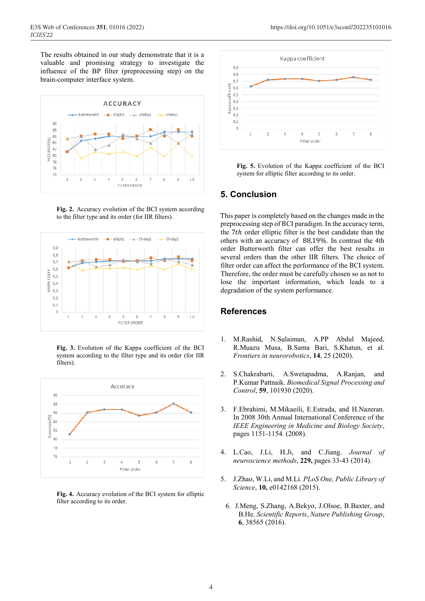The results obtained in our study demonstrate that it is a valuable and promising strategy to investigate the influence of the BP filter (preprocessing step) on the brain-computer interface system.



**Fig. 2.** Accuracy evolution of the ΒCI system according to the filter type and its order (for IIR filters).



**Fig. 3.** Evolution of the Kappa coefficient of the ΒCI system according to the filter type and its order (for IIR filters).



**Fig. 4.** Accuracy evolution of the ΒCI system for elliptic filter according to its order.



**Fig. 5.** Evolution of the Kappa coefficient of the ΒCI system for elliptic filter according to its order.

## **5. Conclusion**

Τhis paper is completely based on the changes made in the preprocessing step of ΒCI paradigm. In the accuracy term, the  $7th$  order elliptic filter is the best candidate than the others with an accuracy of 88,19%. In contrast the 4th order Butterworth filter can offer the best results in several orders than the other IIR filters. The choice of filter order can affect the performance of the ΒCI system. Therefore, the order must be carefully chosen so as not to lose the important information, which leads to a degradation of the system performance.

## **References**

- 1. M.Rashid, N.Sulaiman, A.PP Abdul Majeed, R.Muazu Musa, B.Sama Bari, S.Khatun, et al. *Frontiers in neurorobotics*, **14**, 25 (2020).
- 2. S.Chakrabarti, A.Swetapadma, A.Ranjan, and P.Kumar Pattnaik. *Biomedical Signal Processing and Control*, **59**, 101930 (2020).
- 3. F.Ebrahimi, M.Mikaeili, E.Estrada, and H.Nazeran. In 2008 30th Annual International Conference of the *IEEE Engineering in Medicine and Biology Society*, pages 1151-1154. (2008).
- 4. L.Cao, J.Li, H.Ji, and C.Jiang. *Journal of neuroscience methods*, **229,** pages 33-43 (2014).
- 5. J.Zhao, W.Li, and M.Li. *PLoS One, Public Library of Science*, **10,** e0142168 (2015).
	- 6. J.Meng, S.Zhang, A.Bekyo, J.Olsoe, B.Baxter, and B.He. *Scientific Reports*, *Nature Publishing Group*, **6**, 38565 (2016).